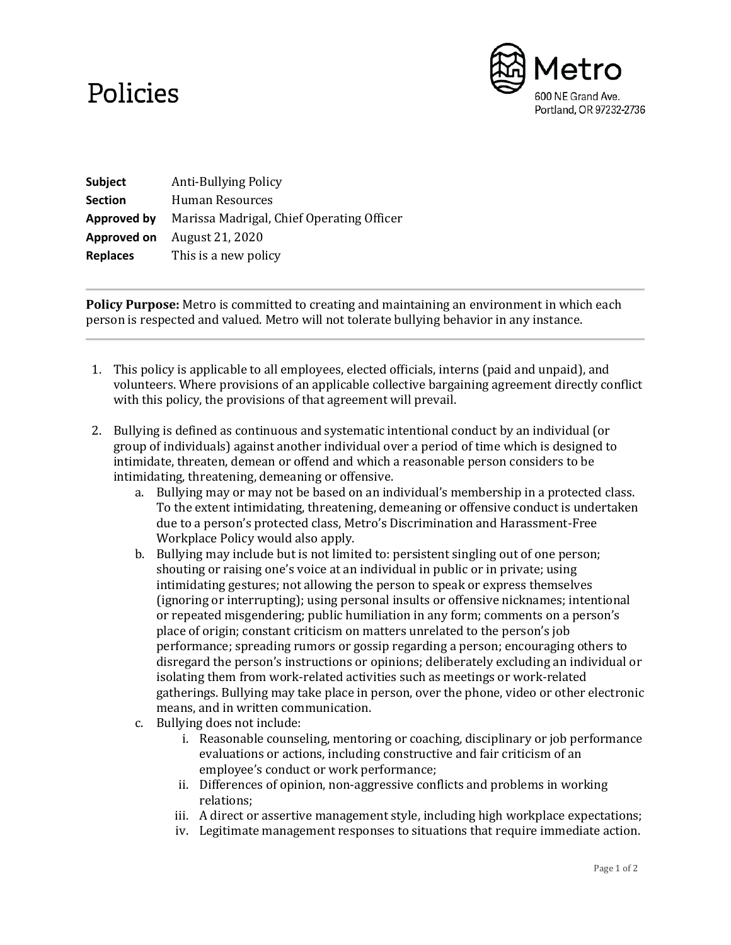## Policies



| Subject            | <b>Anti-Bullying Policy</b>               |
|--------------------|-------------------------------------------|
| <b>Section</b>     | Human Resources                           |
| <b>Approved by</b> | Marissa Madrigal, Chief Operating Officer |
| Approved on        | August 21, 2020                           |
| <b>Replaces</b>    | This is a new policy                      |

**Policy Purpose:** Metro is committed to creating and maintaining an environment in which each person is respected and valued. Metro will not tolerate bullying behavior in any instance.

- 1. This policy is applicable to all employees, elected officials, interns (paid and unpaid), and volunteers. Where provisions of an applicable collective bargaining agreement directly conflict with this policy, the provisions of that agreement will prevail.
- 2. Bullying is defined as continuous and systematic intentional conduct by an individual (or group of individuals) against another individual over a period of time which is designed to intimidate, threaten, demean or offend and which a reasonable person considers to be intimidating, threatening, demeaning or offensive.
	- a. Bullying may or may not be based on an individual's membership in a protected class. To the extent intimidating, threatening, demeaning or offensive conduct is undertaken due to a person's protected class, Metro's Discrimination and Harassment-Free Workplace Policy would also apply.
	- b. Bullying may include but is not limited to: persistent singling out of one person; shouting or raising one's voice at an individual in public or in private; using intimidating gestures; not allowing the person to speak or express themselves (ignoring or interrupting); using personal insults or offensive nicknames; intentional or repeated misgendering; public humiliation in any form; comments on a person's place of origin; constant criticism on matters unrelated to the person's job performance; spreading rumors or gossip regarding a person; encouraging others to disregard the person's instructions or opinions; deliberately excluding an individual or isolating them from work-related activities such as meetings or work-related gatherings. Bullying may take place in person, over the phone, video or other electronic means, and in written communication.
	- c. Bullying does not include:
		- i. Reasonable counseling, mentoring or coaching, disciplinary or job performance evaluations or actions, including constructive and fair criticism of an employee's conduct or work performance;
		- ii. Differences of opinion, non-aggressive conflicts and problems in working relations;
		- iii. A direct or assertive management style, including high workplace expectations;
		- iv. Legitimate management responses to situations that require immediate action.